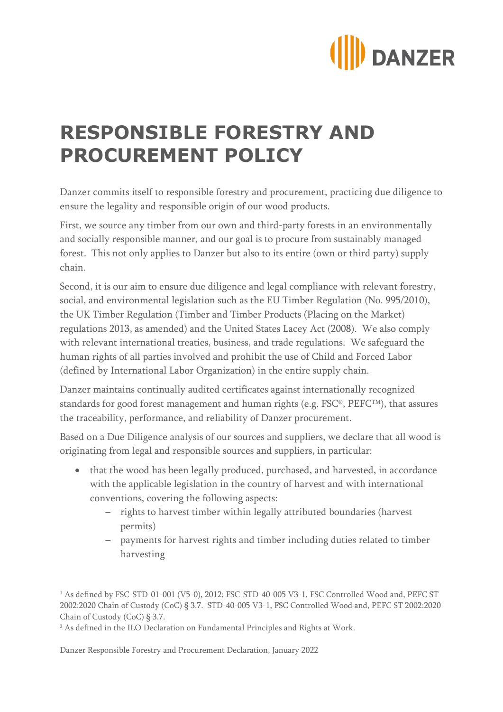

## **RESPONSIBLE FORESTRY AND PROCUREMENT POLICY**

Danzer commits itself to responsible forestry and procurement, practicing due diligence to ensure the legality and responsible origin of our wood products.

First, we source any timber from our own and third-party forests in an environmentally and socially responsible manner, and our goal is to procure from sustainably managed forest. This not only applies to Danzer but also to its entire (own or third party) supply chain.

Second, it is our aim to ensure due diligence and legal compliance with relevant forestry, social, and environmental legislation such as the EU Timber Regulation (No. 995/2010), the UK Timber Regulation (Timber and Timber Products (Placing on the Market) regulations 2013, as amended) and the United States Lacey Act (2008). We also comply with relevant international treaties, business, and trade regulations. We safeguard the human rights of all parties involved and prohibit the use of Child and Forced Labor (defined by International Labor Organization) in the entire supply chain.

Danzer maintains continually audited certificates against internationally recognized standards for good forest management and human rights (e.g. FSC®, PEFCTM), that assures the traceability, performance, and reliability of Danzer procurement.

Based on a Due Diligence analysis of our sources and suppliers, we declare that all wood is originating from legal and responsible sources and suppliers, in particular:

- that the wood has been legally produced, purchased, and harvested, in accordance with the applicable legislation in the country of harvest and with international conventions, covering the following aspects:
	- rights to harvest timber within legally attributed boundaries (harvest permits)
	- payments for harvest rights and timber including duties related to timber harvesting

<sup>1</sup> As defined by FSC-STD-01-001 (V5-0), 2012; FSC-STD-40-005 V3-1, FSC Controlled Wood and, PEFC ST 2002:2020 Chain of Custody (CoC) § 3.7. STD-40-005 V3-1, FSC Controlled Wood and, PEFC ST 2002:2020 Chain of Custody (CoC) § 3.7.

Danzer Responsible Forestry and Procurement Declaration, January 2022

<sup>&</sup>lt;sup>2</sup> As defined in the ILO Declaration on Fundamental Principles and Rights at Work.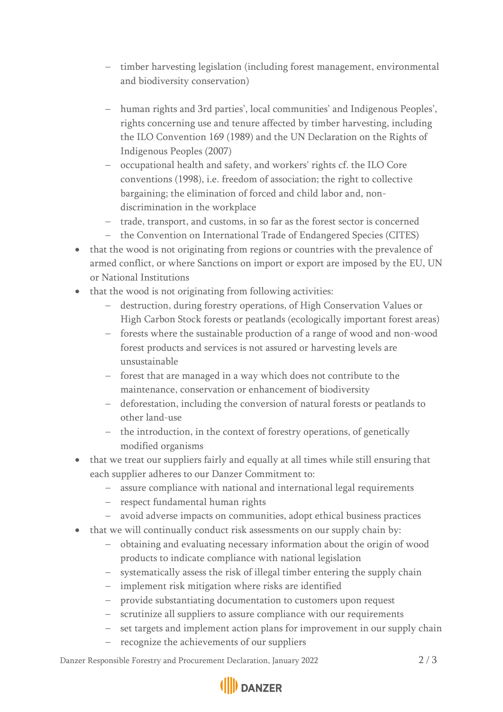- timber harvesting legislation (including forest management, environmental and biodiversity conservation)
- human rights and 3rd parties', local communities' and Indigenous Peoples', rights concerning use and tenure affected by timber harvesting, including the ILO Convention 169 (1989) and the UN Declaration on the Rights of Indigenous Peoples (2007)
- occupational health and safety, and workers' rights cf. the ILO Core conventions (1998), i.e. freedom of association; the right to collective bargaining; the elimination of forced and child labor and, nondiscrimination in the workplace
- trade, transport, and customs, in so far as the forest sector is concerned
- the Convention on International Trade of Endangered Species (CITES)
- that the wood is not originating from regions or countries with the prevalence of armed conflict, or where Sanctions on import or export are imposed by the EU, UN or National Institutions
- that the wood is not originating from following activities:
	- destruction, during forestry operations, of High Conservation Values or High Carbon Stock forests or peatlands (ecologically important forest areas)
	- forests where the sustainable production of a range of wood and non-wood forest products and services is not assured or harvesting levels are unsustainable
	- forest that are managed in a way which does not contribute to the maintenance, conservation or enhancement of biodiversity
	- deforestation, including the conversion of natural forests or peatlands to other land-use
	- the introduction, in the context of forestry operations, of genetically modified organisms
- that we treat our suppliers fairly and equally at all times while still ensuring that each supplier adheres to our Danzer Commitment to:
	- assure compliance with national and international legal requirements
	- respect fundamental human rights
	- avoid adverse impacts on communities, adopt ethical business practices
- that we will continually conduct risk assessments on our supply chain by:
	- obtaining and evaluating necessary information about the origin of wood products to indicate compliance with national legislation
	- systematically assess the risk of illegal timber entering the supply chain
	- implement risk mitigation where risks are identified
	- provide substantiating documentation to customers upon request
	- scrutinize all suppliers to assure compliance with our requirements
	- set targets and implement action plans for improvement in our supply chain
	- recognize the achievements of our suppliers

Danzer Responsible Forestry and Procurement Declaration, January 2022 2 / 3